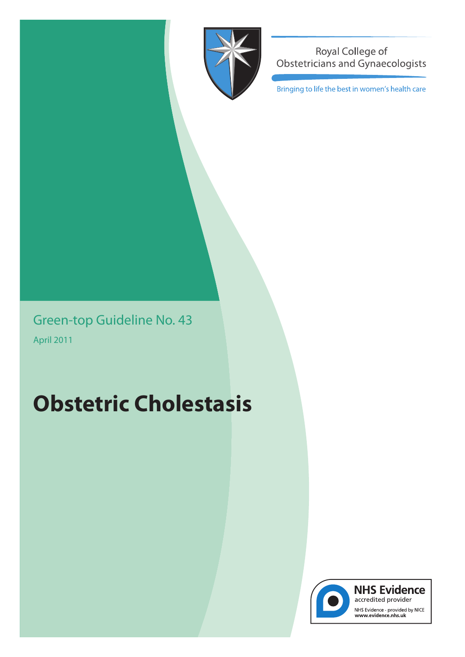

Royal College of Obstetricians and Gynaecologists

Bringing to life the best in women's health care

Green-top Guideline No. 43 April 2011

# **Obstetric Cholestasis**



**NHS Evidence** accredited provider NHS Evidence - provided by NICE<br>www.evidence.nhs.uk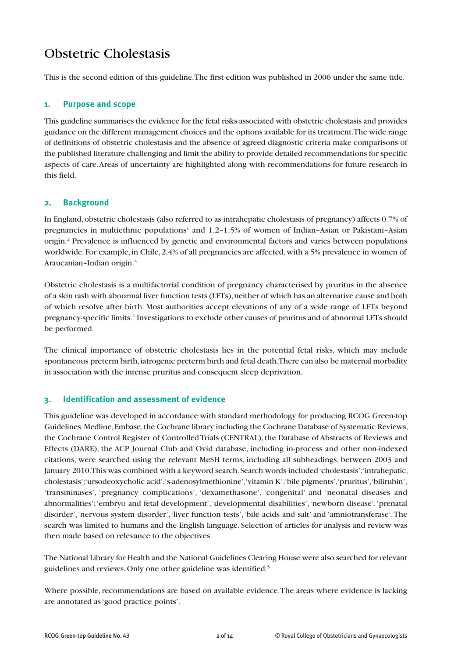# Obstetric Cholestasis

This is the second edition of this guideline.The first edition was published in 2006 under the same title.

# **1. Purpose and scope**

This guideline summarises the evidence for the fetal risks associated with obstetric cholestasis and provides guidance on the different management choices and the options available for its treatment.The wide range of definitions of obstetric cholestasis and the absence of agreed diagnostic criteria make comparisons of the published literature challenging and limit the ability to provide detailed recommendations for specific aspects of care.Areas of uncertainty are highlighted along with recommendations for future research in this field.

# **2. Background**

In England, obstetric cholestasis (also referred to as intrahepatic cholestasis of pregnancy) affects 0.7% of pregnancies in multiethnic populations<sup>1</sup> and  $1.2-1.5\%$  of women of Indian–Asian or Pakistani–Asian origin. <sup>2</sup> Prevalence is influenced by genetic and environmental factors and varies between populations worldwide. For example, in Chile, 2.4% of all pregnancies are affected, with a 5% prevalence in women of Araucanian–Indian origin. 3

Obstetric cholestasis is a multifactorial condition of pregnancy characterised by pruritus in the absence of a skin rash with abnormal liver function tests (LFTs), neither of which has an alternative cause and both of which resolve after birth. Most authorities accept elevations of any of a wide range of LFTs beyond pregnancy-specific limits. <sup>4</sup> Investigations to exclude other causes of pruritus and of abnormal LFTs should be performed.

The clinical importance of obstetric cholestasis lies in the potential fetal risks, which may include spontaneous preterm birth, iatrogenic preterm birth and fetal death. There can also be maternal morbidity in association with the intense pruritus and consequent sleep deprivation.

# **3. Identification and assessment of evidence**

This guideline was developed in accordance with standard methodology for producing RCOG Green-top Guidelines.Medline,Embase,the Cochrane library including the Cochrane Database of Systematic Reviews, the Cochrane Control Register of Controlled Trials (CENTRAL), the Database of Abstracts of Reviews and Effects (DARE), the ACP Journal Club and Ovid database, including in-process and other non-indexed citations, were searched using the relevant MeSH terms, including all subheadings, between 2003 and January 2010.This was combined with a keyword search.Search words included'cholestasis';'intrahepatic, cholestasis';'ursodeoxycholic acid','s-adenosylmethionine','vitamin K','bile pigments','pruritus','bilirubin', 'transminases', 'pregnancy complications', 'dexamethasone', 'congenital' and 'neonatal diseases and abnormalities';'embryo and fetal development','developmental disabilities','newborn disease','prenatal disorder','nervous system disorder','liver function tests','bile acids and salt' and 'amniotransferase'.The search was limited to humans and the English language. Selection of articles for analysis and review was then made based on relevance to the objectives.

The National Library for Health and the National Guidelines Clearing House were also searched for relevant guidelines and reviews.Only one other guideline was identified. 5

Where possible, recommendations are based on available evidence. The areas where evidence is lacking are annotated as'good practice points'.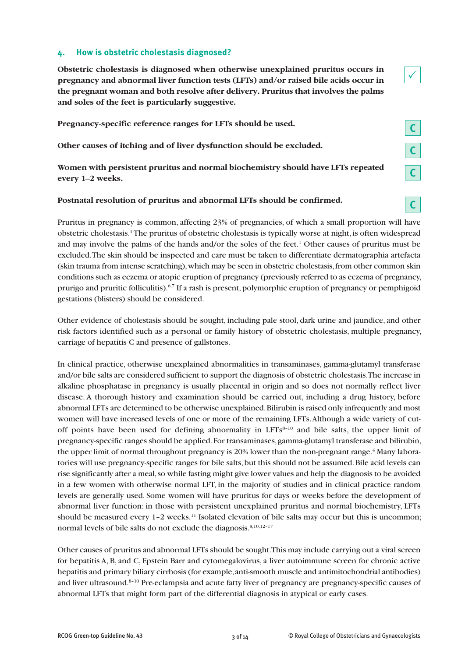## **4. How is obstetric cholestasis diagnosed?**

**Obstetric cholestasis is diagnosed when otherwise unexplained pruritus occurs in pregnancy and abnormal liver function tests (LFTs) and/or raised bile acids occur in the pregnant woman and both resolve after delivery. Pruritus that involves the palms and soles of the feet is particularly suggestive.**

**Pregnancy-specific reference ranges for LFTs should be used.**

**Other causes of itching and of liver dysfunction should be excluded.**

**Women with persistent pruritus and normal biochemistry should have LFTs repeated every 1–2 weeks.**

#### **Postnatal resolution of pruritus and abnormal LFTs should be confirmed.**

Pruritus in pregnancy is common, affecting 23% of pregnancies, of which a small proportion will have obstetric cholestasis.<sup>1</sup> The pruritus of obstetric cholestasis is typically worse at night, is often widespread and may involve the palms of the hands and/or the soles of the feet. <sup>1</sup> Other causes of pruritus must be excluded.The skin should be inspected and care must be taken to differentiate dermatographia artefacta (skin trauma from intense scratching), which may be seen in obstetric cholestasis, from other common skin conditions such as eczema or atopic eruption of pregnancy (previously referred to as eczema of pregnancy, prurigo and pruritic folliculitis).<sup>6,7</sup> If a rash is present, polymorphic eruption of pregnancy or pemphigoid gestations (blisters) should be considered.

Other evidence of cholestasis should be sought, including pale stool, dark urine and jaundice, and other risk factors identified such as a personal or family history of obstetric cholestasis, multiple pregnancy, carriage of hepatitis C and presence of gallstones.

In clinical practice, otherwise unexplained abnormalities in transaminases, gamma-glutamyl transferase and/or bile salts are considered sufficient to support the diagnosis of obstetric cholestasis.The increase in alkaline phosphatase in pregnancy is usually placental in origin and so does not normally reflect liver disease. A thorough history and examination should be carried out, including a drug history, before abnormal LFTs are determined to be otherwise unexplained.Bilirubin is raised only infrequently and most women will have increased levels of one or more of the remaining LFTs.Although a wide variety of cutoff points have been used for defining abnormality in  $LFTs<sup>8-10</sup>$  and bile salts, the upper limit of pregnancy-specific ranges should be applied.For transaminases,gamma-glutamyl transferase and bilirubin, the upper limit of normal throughout pregnancy is 20% lower than the non-pregnant range. <sup>4</sup> Many laboratories will use pregnancy-specific ranges for bile salts, but this should not be assumed. Bile acid levels can rise significantly after a meal,so while fasting might give lower values and help the diagnosis to be avoided in a few women with otherwise normal LFT, in the majority of studies and in clinical practice random levels are generally used. Some women will have pruritus for days or weeks before the development of abnormal liver function: in those with persistent unexplained pruritus and normal biochemistry, LFTs should be measured every 1-2 weeks.<sup>11</sup> Isolated elevation of bile salts may occur but this is uncommon; normal levels of bile salts do not exclude the diagnosis. 8,10,12–17

Other causes of pruritus and abnormal LFTs should be sought.This may include carrying out a viral screen for hepatitis A, B, and C, Epstein Barr and cytomegalovirus, a liver autoimmune screen for chronic active hepatitis and primary biliary cirrhosis (for example, anti-smooth muscle and antimitochondrial antibodies) and liver ultrasound. 8–10 Pre-eclampsia and acute fatty liver of pregnancy are pregnancy-specific causes of abnormal LFTs that might form part of the differential diagnosis in atypical or early cases.

**C**

**C**

**C**

**C**

 $\checkmark$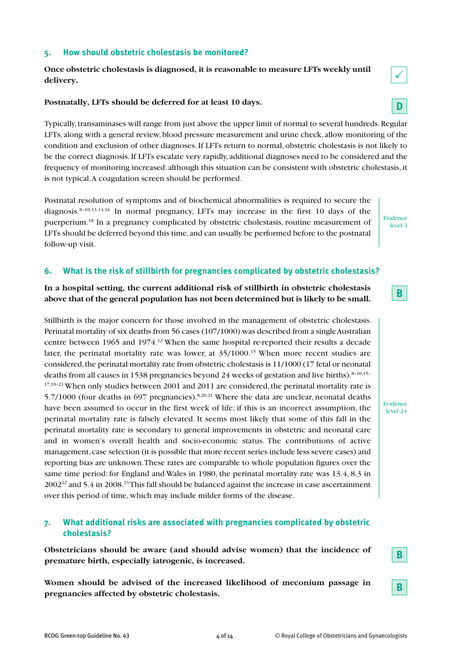## **5. How should obstetric cholestasis be monitored?**

**Once obstetric cholestasis is diagnosed, it is reasonable to measure LFTs weekly until delivery.**

#### **Postnatally, LFTs should be deferred for at least 10 days.**

Typically,transaminases will range from just above the upper limit of normal to several hundreds.Regular LFTs, along with a general review,blood pressure measurement and urine check, allow monitoring of the condition and exclusion of other diagnoses.If LFTs return to normal, obstetric cholestasis is not likely to be the correct diagnosis.If LFTs escalate very rapidly, additional diagnoses need to be considered and the frequency of monitoring increased: although this situation can be consistent with obstetric cholestasis, it is not typical.A coagulation screen should be performed.

Postnatal resolution of symptoms and of biochemical abnormalities is required to secure the diagnosis. 8–10,13,14,16 In normal pregnancy, LFTs may increase in the first 10 days of the puerperium.<sup>18</sup> In a pregnancy complicated by obstetric cholestasis, routine measurement of LFTs should be deferred beyond this time, and can usually be performed before to the postnatal follow-up visit.

#### **6. What is the risk of stillbirth for pregnancies complicated by obstetric cholestasis?**

**In a hospital setting, the current additional risk of stillbirth in obstetric cholestasis above that of the general population has not been determined but is likely to be small.**

Stillbirth is the major concern for those involved in the management of obstetric cholestasis. Perinatal mortality of six deaths from 56 cases (107/1000) was described from a single Australian centre between 1965 and 1974. <sup>12</sup> When the same hospital re-reported their results a decade later, the perinatal mortality rate was lower, at 35/1000. <sup>15</sup> When more recent studies are considered,the perinatal mortality rate from obstetric cholestasis is 11/1000 (17 fetal or neonatal deaths from all causes in 1538 pregnancies beyond 24 weeks of gestation and live births).<sup>8-10,15-</sup> <sup>17,19-21</sup> When only studies between 2001 and 2011 are considered, the perinatal mortality rate is 5.7/1000 (four deaths in 697 pregnancies).<sup>8,20,21</sup> Where the data are unclear, neonatal deaths have been assumed to occur in the first week of life; if this is an incorrect assumption, the perinatal mortality rate is falsely elevated. It seems most likely that some of this fall in the perinatal mortality rate is secondary to general improvements in obstetric and neonatal care and in women's overall health and socio-economic status. The contributions of active management, case selection (it is possible that more recent series include less severe cases) and reporting bias are unknown.These rates are comparable to whole population figures over the same time period: for England and Wales in 1980, the perinatal mortality rate was 13.4, 8.3 in  $2002^{22}$  and 5.4 in 2008.<sup>23</sup> This fall should be balanced against the increase in case ascertainment over this period of time, which may include milder forms of the disease.

## **7. What additional risks are associated with pregnancies complicated by obstetric cholestasis?**

**Obstetricians should be aware (and should advise women) that the incidence of premature birth, especially iatrogenic, is increased.**

**Women should be advised of the increased likelihood of meconium passage in pregnancies affected by obstetric cholestasis.**



 $\checkmark$ 

**B**

**B**

**B**

Evidence level 3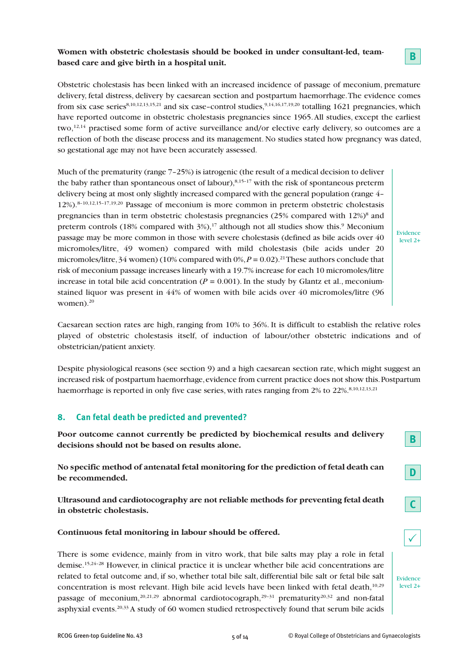# **Women with obstetric cholestasis should be booked in under consultant-led, teambased care and give birth in a hospital unit.**

Obstetric cholestasis has been linked with an increased incidence of passage of meconium, premature delivery, fetal distress, delivery by caesarean section and postpartum haemorrhage.The evidence comes from six case series<sup>8,10,12,13,15,21</sup> and six case–control studies,<sup>9,14,16,17,19,20</sup> totalling 1621 pregnancies, which have reported outcome in obstetric cholestasis pregnancies since 1965.All studies, except the earliest two,<sup>12,14</sup> practised some form of active surveillance and/or elective early delivery, so outcomes are a reflection of both the disease process and its management. No studies stated how pregnancy was dated, so gestational age may not have been accurately assessed.

Much of the prematurity (range 7–25%) is iatrogenic (the result of a medical decision to deliver the baby rather than spontaneous onset of labour),<sup>8,15-17</sup> with the risk of spontaneous preterm delivery being at most only slightly increased compared with the general population (range 4– 12%). 8–10,12,15–17,19,20 Passage of meconium is more common in preterm obstetric cholestasis pregnancies than in term obstetric cholestasis pregnancies  $(25\%$  compared with  $12\%)^8$  and preterm controls (18% compared with 3%),<sup>17</sup> although not all studies show this.<sup>9</sup> Meconium passage may be more common in those with severe cholestasis (defined as bile acids over 40 micromoles/litre, 49 women) compared with mild cholestasis (bile acids under 20 micromoles/litre,34 women) (10% compared with 0%,*P* = 0.02). 21These authors conclude that risk of meconium passage increases linearly with a 19.7% increase for each 10 micromoles/litre increase in total bile acid concentration ( $P = 0.001$ ). In the study by Glantz et al., meconiumstained liquor was present in 44% of women with bile acids over 40 micromoles/litre (96 women). 20

Evidence level 2+

**B**

Caesarean section rates are high, ranging from 10% to 36%. It is difficult to establish the relative roles played of obstetric cholestasis itself, of induction of labour/other obstetric indications and of obstetrician/patient anxiety.

Despite physiological reasons (see section 9) and a high caesarean section rate, which might suggest an increased risk of postpartum haemorrhage, evidence from current practice does not show this. Postpartum haemorrhage is reported in only five case series, with rates ranging from 2% to 22%. 8,10,12,13,21

# **8. Can fetal death be predicted and prevented?**

**Poor outcome cannot currently be predicted by biochemical results and delivery decisions should not be based on results alone.**

**No specific method of antenatal fetal monitoring for the prediction of fetal death can be recommended.**

**Ultrasound and cardiotocography are not reliable methods for preventing fetal death in obstetric cholestasis.**

#### **Continuous fetal monitoring in labour should be offered.**

There is some evidence, mainly from in vitro work, that bile salts may play a role in fetal demise. 15,24–28 However, in clinical practice it is unclear whether bile acid concentrations are related to fetal outcome and, if so, whether total bile salt, differential bile salt or fetal bile salt concentration is most relevant. High bile acid levels have been linked with fetal death, 10,29 passage of meconium,  $20,21,29$  abnormal cardiotocograph,  $29-31$  prematurity  $20,32$  and non-fatal asphyxial events. $^{20,33}$  A study of 60 women studied retrospectively found that serum bile acids

Evidence level 2+

 $\checkmark$ 

**D**

**C**

**B**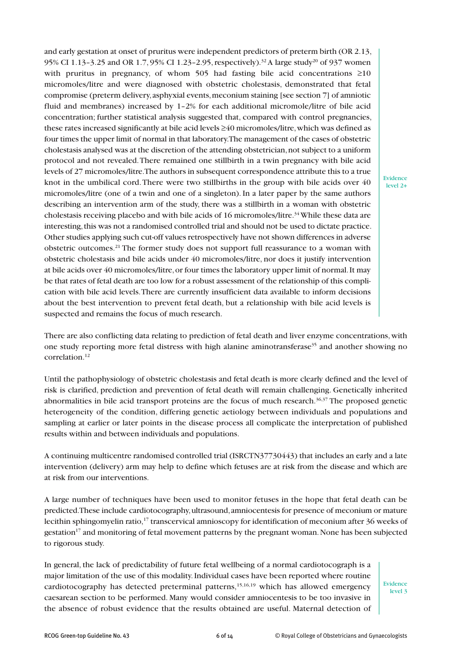and early gestation at onset of pruritus were independent predictors of preterm birth (OR 2.13, 95% CI 1.13-3.25 and OR 1.7, 95% CI 1.23-2.95, respectively).<sup>32</sup> A large study<sup>20</sup> of 937 women with pruritus in pregnancy, of whom 505 had fasting bile acid concentrations  $\geq 10$ micromoles/litre and were diagnosed with obstetric cholestasis, demonstrated that fetal compromise (preterm delivery,asphyxial events,meconium staining [see section 7] of amniotic fluid and membranes) increased by 1–2% for each additional micromole/litre of bile acid concentration; further statistical analysis suggested that, compared with control pregnancies, these rates increased significantly at bile acid levels ≥40 micromoles/litre,which was defined as four times the upper limit of normal in that laboratory.The management of the cases of obstetric cholestasis analysed was at the discretion of the attending obstetrician,not subject to a uniform protocol and not revealed.There remained one stillbirth in a twin pregnancy with bile acid levels of 27 micromoles/litre.The authors in subsequent correspondence attribute this to a true knot in the umbilical cord.There were two stillbirths in the group with bile acids over 40 micromoles/litre (one of a twin and one of a singleton). In a later paper by the same authors describing an intervention arm of the study, there was a stillbirth in a woman with obstetric cholestasis receiving placebo and with bile acids of 16 micromoles/litre.<sup>34</sup> While these data are interesting,this was not a randomised controlled trial and should not be used to dictate practice. Other studies applying such cut-off values retrospectively have not shown differences in adverse obstetric outcomes. <sup>21</sup> The former study does not support full reassurance to a woman with obstetric cholestasis and bile acids under 40 micromoles/litre, nor does it justify intervention at bile acids over 40 micromoles/litre,or four times the laboratory upper limit of normal.It may be that rates of fetal death are too low for a robust assessment of the relationship of this complication with bile acid levels.There are currently insufficient data available to inform decisions about the best intervention to prevent fetal death, but a relationship with bile acid levels is suspected and remains the focus of much research.

Evidence level 2+

There are also conflicting data relating to prediction of fetal death and liver enzyme concentrations, with one study reporting more fetal distress with high alanine aminotransferase<sup>35</sup> and another showing no correlation. 12

Until the pathophysiology of obstetric cholestasis and fetal death is more clearly defined and the level of risk is clarified, prediction and prevention of fetal death will remain challenging. Genetically inherited abnormalities in bile acid transport proteins are the focus of much research. 36,37 The proposed genetic heterogeneity of the condition, differing genetic aetiology between individuals and populations and sampling at earlier or later points in the disease process all complicate the interpretation of published results within and between individuals and populations.

A continuing multicentre randomised controlled trial (ISRCTN37730443) that includes an early and a late intervention (delivery) arm may help to define which fetuses are at risk from the disease and which are at risk from our interventions.

A large number of techniques have been used to monitor fetuses in the hope that fetal death can be predicted.These include cardiotocography,ultrasound,amniocentesis for presence of meconium or mature lecithin sphingomyelin ratio, <sup>17</sup> transcervical amnioscopy for identification of meconium after 36 weeks of gestation17 and monitoring of fetal movement patterns by the pregnant woman.None has been subjected to rigorous study.

In general, the lack of predictability of future fetal wellbeing of a normal cardiotocograph is a major limitation of the use of this modality.Individual cases have been reported where routine cardiotocography has detected preterminal patterns, 15,16,19 which has allowed emergency caesarean section to be performed. Many would consider amniocentesis to be too invasive in the absence of robust evidence that the results obtained are useful. Maternal detection of

Evidence level 3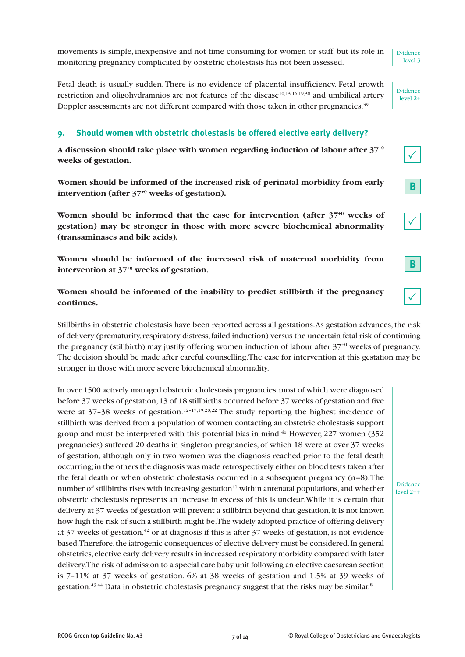movements is simple, inexpensive and not time consuming for women or staff, but its role in monitoring pregnancy complicated by obstetric cholestasis has not been assessed.

Fetal death is usually sudden.There is no evidence of placental insufficiency. Fetal growth restriction and oligohydramnios are not features of the disease<sup>10,13,16,19,38</sup> and umbilical artery Doppler assessments are not different compared with those taken in other pregnancies.<sup>39</sup>

#### **9. Should women with obstetric cholestasis be offered elective early delivery?**

**A discussion should take place with women regarding induction of labour after 37+0 weeks of gestation.**

**Women should be informed of the increased risk of perinatal morbidity from early intervention (after 37+0 weeks of gestation).**

**Women should be informed that the case for intervention (after 37+0 weeks of gestation) may be stronger in those with more severe biochemical abnormality (transaminases and bile acids).**

**Women should be informed of the increased risk of maternal morbidity from intervention at 37+0 weeks of gestation.**

**Women should be informed of the inability to predict stillbirth if the pregnancy continues.**

Stillbirths in obstetric cholestasis have been reported across all gestations.As gestation advances,the risk of delivery (prematurity,respiratory distress,failed induction) versus the uncertain fetal risk of continuing the pregnancy (stillbirth) may justify offering women induction of labour after  $37^{+0}$  weeks of pregnancy. The decision should be made after careful counselling.The case for intervention at this gestation may be stronger in those with more severe biochemical abnormality.

In over 1500 actively managed obstetric cholestasis pregnancies, most of which were diagnosed before 37 weeks of gestation,13 of 18 stillbirths occurred before 37 weeks of gestation and five were at  $37-38$  weeks of gestation.<sup>12-17,19,20,22</sup> The study reporting the highest incidence of stillbirth was derived from a population of women contacting an obstetric cholestasis support group and must be interpreted with this potential bias in mind. <sup>40</sup> However, 227 women (352 pregnancies) suffered 20 deaths in singleton pregnancies, of which 18 were at over 37 weeks of gestation, although only in two women was the diagnosis reached prior to the fetal death occurring;in the others the diagnosis was made retrospectively either on blood tests taken after the fetal death or when obstetric cholestasis occurred in a subsequent pregnancy (n=8).The number of stillbirths rises with increasing gestation $41$  within antenatal populations, and whether obstetric cholestasis represents an increase in excess of this is unclear.While it is certain that delivery at 37 weeks of gestation will prevent a stillbirth beyond that gestation, it is not known how high the risk of such a stillbirth might be.The widely adopted practice of offering delivery at 37 weeks of gestation, $^{42}$  or at diagnosis if this is after 37 weeks of gestation, is not evidence based.Therefore,the iatrogenic consequences of elective delivery must be considered.In general obstetrics,elective early delivery results in increased respiratory morbidity compared with later delivery.The risk of admission to a special care baby unit following an elective caesarean section is 7–11% at 37 weeks of gestation, 6% at 38 weeks of gestation and 1.5% at 39 weeks of gestation. $^{43,44}$  Data in obstetric cholestasis pregnancy suggest that the risks may be similar. $^8$ 

Evidence level 3

Evidence level 2+

**B**

 $\checkmark$ 

 $\checkmark$ 

**B**

 $\checkmark$ 

Evidence level 2++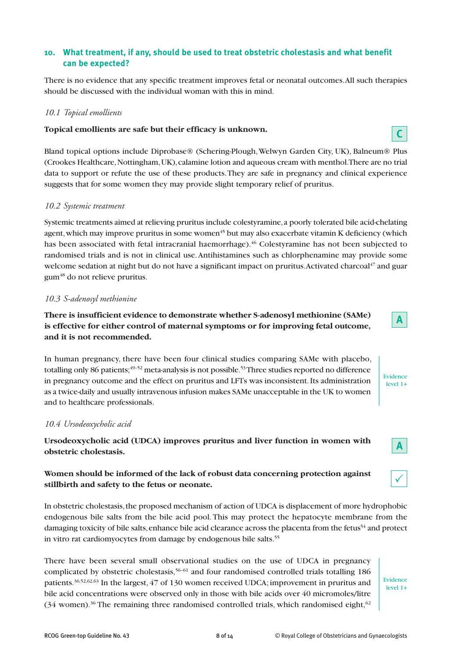# **10. What treatment, if any, should be used to treat obstetric cholestasis and what benefit can be expected?**

There is no evidence that any specific treatment improves fetal or neonatal outcomes.All such therapies should be discussed with the individual woman with this in mind.

#### *10.1 Topical emollients*

#### **Topical emollients are safe but their efficacy is unknown.**

Bland topical options include Diprobase® (Schering-Plough,Welwyn Garden City, UK), Balneum® Plus (Crookes Healthcare,Nottingham,UK),calamine lotion and aqueous cream with menthol.There are no trial data to support or refute the use of these products.They are safe in pregnancy and clinical experience suggests that for some women they may provide slight temporary relief of pruritus.

#### *10.2 Systemic treatment*

Systemic treatments aimed at relieving pruritus include colestyramine,a poorly tolerated bile acid-chelating agent, which may improve pruritus in some women<sup>45</sup> but may also exacerbate vitamin K deficiency (which has been associated with fetal intracranial haemorrhage). <sup>46</sup> Colestyramine has not been subjected to randomised trials and is not in clinical use.Antihistamines such as chlorphenamine may provide some welcome sedation at night but do not have a significant impact on pruritus.Activated charcoal <sup>47</sup> and guar gum48 do not relieve pruritus.

#### *10.3 S-adenosyl methionine*

# **There is insufficient evidence to demonstrate whether S-adenosyl methionine (SAMe) is effective for either control of maternal symptoms or for improving fetal outcome, and it is not recommended.**

In human pregnancy, there have been four clinical studies comparing SAMe with placebo, totalling only 86 patients; 49–52 meta-analysis is not possible. 53Three studies reported no difference in pregnancy outcome and the effect on pruritus and LFTs was inconsistent.Its administration as a twice-daily and usually intravenous infusion makes SAMe unacceptable in the UK to women and to healthcare professionals.

#### *10.4 Ursodeoxycholic acid*

**Ursodeoxycholic acid (UDCA) improves pruritus and liver function in women with obstetric cholestasis.**

# **Women should be informed of the lack of robust data concerning protection against stillbirth and safety to the fetus or neonate.**

In obstetric cholestasis, the proposed mechanism of action of UDCA is displacement of more hydrophobic endogenous bile salts from the bile acid pool.This may protect the hepatocyte membrane from the damaging toxicity of bile salts, enhance bile acid clearance across the placenta from the fetus<sup>54</sup> and protect in vitro rat cardiomyocytes from damage by endogenous bile salts.<sup>55</sup>

There have been several small observational studies on the use of UDCA in pregnancy complicated by obstetric cholestasis,<sup>56-61</sup> and four randomised controlled trials totalling 186 patients. 36,52,62,63 In the largest, 47 of 130 women received UDCA; improvement in pruritus and bile acid concentrations were observed only in those with bile acids over 40 micromoles/litre (34 women).<sup>36</sup> The remaining three randomised controlled trials, which randomised eight,<sup>62</sup>

Evidence level 1+



**C**

Evidence level 1+



**A**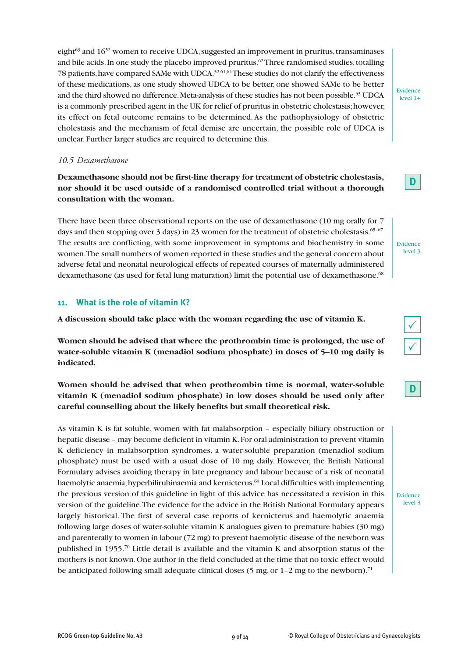eight <sup>63</sup> and 1652 women to receive UDCA,suggested an improvement in pruritus,transaminases and bile acids. In one study the placebo improved pruritus. $^{62}$ Three randomised studies, totalling 78 patients, have compared SAMe with UDCA.<sup>52,61,64</sup>These studies do not clarify the effectiveness of these medications, as one study showed UDCA to be better, one showed SAMe to be better and the third showed no difference.Meta-analysis of these studies has not been possible. <sup>53</sup> UDCA is a commonly prescribed agent in the UK for relief of pruritus in obstetric cholestasis;however, its effect on fetal outcome remains to be determined.As the pathophysiology of obstetric cholestasis and the mechanism of fetal demise are uncertain, the possible role of UDCA is unclear. Further larger studies are required to determine this.

#### *10.5 Dexamethasone*

**Dexamethasone should not be first-line therapy for treatment of obstetric cholestasis, nor should it be used outside of a randomised controlled trial without a thorough consultation with the woman.**

There have been three observational reports on the use of dexamethasone (10 mg orally for 7 days and then stopping over 3 days) in 23 women for the treatment of obstetric cholestasis. <sup>65-67</sup> The results are conflicting, with some improvement in symptoms and biochemistry in some women.The small numbers of women reported in these studies and the general concern about adverse fetal and neonatal neurological effects of repeated courses of maternally administered dexamethasone (as used for fetal lung maturation) limit the potential use of dexamethasone.<sup>68</sup>

# **11. What is the role of vitamin K?**

**A discussion should take place with the woman regarding the use of vitamin K.**

**Women should be advised that where the prothrombin time is prolonged, the use of water-soluble vitamin K (menadiol sodium phosphate) in doses of 5–10 mg daily is indicated.**

# **Women should be advised that when prothrombin time is normal, water-soluble vitamin K (menadiol sodium phosphate) in low doses should be used only after careful counselling about the likely benefits but small theoretical risk.**

As vitamin K is fat soluble, women with fat malabsorption – especially biliary obstruction or hepatic disease – may become deficient in vitamin K.For oral administration to prevent vitamin K deficiency in malabsorption syndromes, a water-soluble preparation (menadiol sodium phosphate) must be used with a usual dose of 10 mg daily. However, the British National Formulary advises avoiding therapy in late pregnancy and labour because of a risk of neonatal haemolytic anaemia,hyperbilirubinaemia and kernicterus. <sup>69</sup> Local difficulties with implementing the previous version of this guideline in light of this advice has necessitated a revision in this version of the guideline.The evidence for the advice in the British National Formulary appears largely historical. The first of several case reports of kernicterus and haemolytic anaemia following large doses of water-soluble vitamin K analogues given to premature babies (30 mg) and parenterally to women in labour (72 mg) to prevent haemolytic disease of the newborn was published in 1955. <sup>70</sup> Little detail is available and the vitamin K and absorption status of the mothers is not known.One author in the field concluded at the time that no toxic effect would be anticipated following small adequate clinical doses (5 mg, or 1-2 mg to the newborn).<sup>71</sup>

**D**

Evidence level 1+

Evidence level 3

|--|

Evidence level 3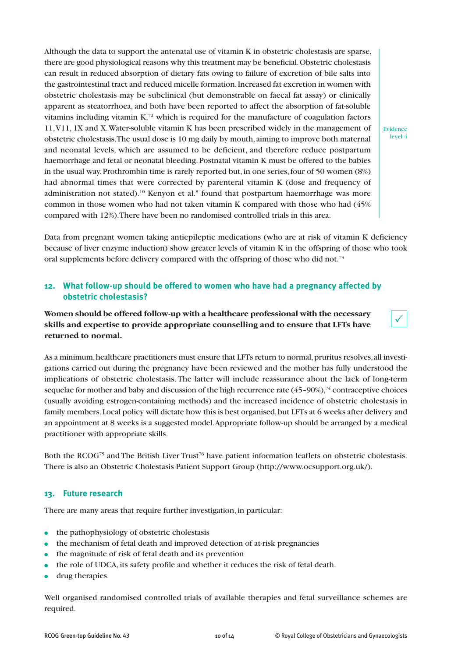Although the data to support the antenatal use of vitamin K in obstetric cholestasis are sparse, there are good physiological reasons why this treatment may be beneficial.Obstetric cholestasis can result in reduced absorption of dietary fats owing to failure of excretion of bile salts into the gastrointestinal tract and reduced micelle formation.Increased fat excretion in women with obstetric cholestasis may be subclinical (but demonstrable on faecal fat assay) or clinically apparent as steatorrhoea, and both have been reported to affect the absorption of fat-soluble vitamins including vitamin  $K<sub>1</sub><sup>72</sup>$  which is required for the manufacture of coagulation factors 11,V11, 1X and X.Water-soluble vitamin K has been prescribed widely in the management of obstetric cholestasis.The usual dose is 10 mg daily by mouth, aiming to improve both maternal and neonatal levels, which are assumed to be deficient, and therefore reduce postpartum haemorrhage and fetal or neonatal bleeding. Postnatal vitamin K must be offered to the babies in the usual way.Prothrombin time is rarely reported but,in one series,four of 50 women (8%) had abnormal times that were corrected by parenteral vitamin K (dose and frequency of administration not stated).<sup>10</sup> Kenyon et al.<sup>8</sup> found that postpartum haemorrhage was more common in those women who had not taken vitamin K compared with those who had (45% compared with 12%).There have been no randomised controlled trials in this area.

Evidence level 4

 $\checkmark$ 

Data from pregnant women taking antiepileptic medications (who are at risk of vitamin K deficiency because of liver enzyme induction) show greater levels of vitamin K in the offspring of those who took oral supplements before delivery compared with the offspring of those who did not.<sup>73</sup>

# **12. What follow-up should be offered to women who have had a pregnancy affected by obstetric cholestasis?**

**Women should be offered follow-up with a healthcare professional with the necessary skills and expertise to provide appropriate counselling and to ensure that LFTs have returned to normal.**

As a minimum, healthcare practitioners must ensure that LFTs return to normal, pruritus resolves, all investigations carried out during the pregnancy have been reviewed and the mother has fully understood the implications of obstetric cholestasis. The latter will include reassurance about the lack of long-term sequelae for mother and baby and discussion of the high recurrence rate  $(45$ –90%), $^{74}$  contraceptive choices (usually avoiding estrogen-containing methods) and the increased incidence of obstetric cholestasis in family members. Local policy will dictate how this is best organised, but LFTs at 6 weeks after delivery and an appointment at 8 weeks is a suggested model.Appropriate follow-up should be arranged by a medical practitioner with appropriate skills.

Both the  $\rm RCOG^{75}$  and The British Liver Trust<sup>76</sup> have patient information leaflets on obstetric cholestasis. There is also an Obstetric Cholestasis Patient Support Group (http://www.ocsupport.org.uk/).

# **13. Future research**

There are many areas that require further investigation, in particular:

- **●** the pathophysiology of obstetric cholestasis
- **●** the mechanism of fetal death and improved detection of at-risk pregnancies
- **●** the magnitude of risk of fetal death and its prevention
- **●** the role of UDCA, its safety profile and whether it reduces the risk of fetal death.
- drug therapies.

Well organised randomised controlled trials of available therapies and fetal surveillance schemes are required.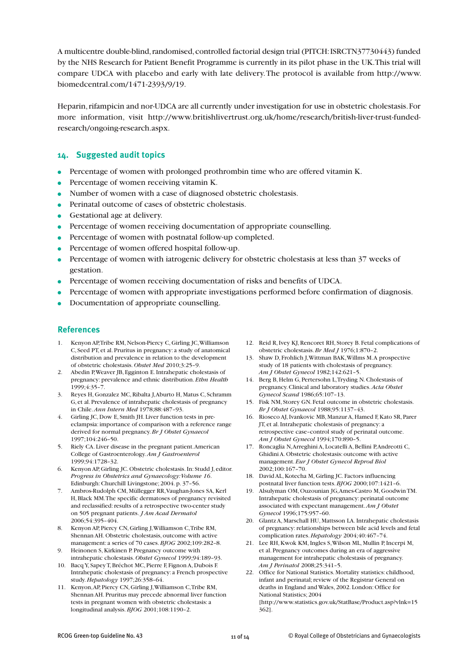A multicentre double-blind,randomised,controlled factorial design trial (PITCH:ISRCTN37730443) funded by the NHS Research for Patient Benefit Programme is currently in its pilot phase in the UK.This trial will compare UDCA with placebo and early with late delivery.The protocol is available from http://www. biomedcentral.com/1471-2393/9/19.

Heparin,rifampicin and nor-UDCA are all currently under investigation for use in obstetric cholestasis.For more information, visit http://www.britishlivertrust.org.uk/home/research/british-liver-trust-fundedresearch/ongoing-research.aspx.

#### **14. Suggested audit topics**

- **●** Percentage of women with prolonged prothrombin time who are offered vitamin K.
- **●** Percentage of women receiving vitamin K.
- **●** Number of women with a case of diagnosed obstetric cholestasis.
- **●** Perinatal outcome of cases of obstetric cholestasis.
- **●** Gestational age at delivery.
- **●** Percentage of women receiving documentation of appropriate counselling.
- **●** Percentage of women with postnatal follow-up completed.
- **●** Percentage of women offered hospital follow-up.
- **●** Percentage of women with iatrogenic delivery for obstetric cholestasis at less than 37 weeks of gestation.
- **●** Percentage of women receiving documentation of risks and benefits of UDCA.
- **●** Percentage of women with appropriate investigations performed before confirmation of diagnosis.
- **●** Documentation of appropriate counselling.

#### **References**

- 1. Kenyon AP, Tribe RM, Nelson-Piercy C, Girling JC, Williamson C, Seed PT, et al. Pruritus in pregnancy: a study of anatomical distribution and prevalence in relation to the development of obstetric cholestasis. *Obstet Med* 2010;3:25–9.
- 2. Abedin P,Weaver JB, Egginton E.Intrahepatic cholestasis of pregnancy:prevalence and ethnic distribution. *Ethn Health*  $1999; 4:35-7.$
- 3. Reyes H, Gonzalez MC,Ribalta J,Aburto H, Matus C, Schramm G, et al. Prevalence of intrahepatic cholestasis of pregnancy in Chile.*Ann Intern Med* 1978;88:487–93.
- 4. Girling JC, Dow E, Smith JH. Liver function tests in preeclampsia: importance of comparison with a reference range derived for normal pregnancy.*Br J Obstet Gynaecol* 1997;104:246–50.
- 5. Riely CA. Liver disease in the pregnant patient.American College of Gastroenterology.*Am J Gastroenterol* 1999;94:1728–32.
- 6. Kenyon AP, Girling JC.Obstetric cholestasis.In: Studd J, editor. *Progress in Obstetrics and Gynaecology:Volume 16*. Edinburgh:Churchill Livingstone; 2004.p. 37–56.
- 7. Ambros-Rudolph CM, Müllegger RR, Vaughan-Jones SA, Kerl H,Black MM.The specific dermatoses of pregnancy revisited and reclassified: results of a retrospective two-center study on 505 pregnant patients. *J Am Acad Dermatol* 2006;54:395–404.
- 8. Kenyon AP, Piercy CN, Girling J,Williamson C,Tribe RM, Shennan AH.Obstetric cholestasis, outcome with active management: a series of 70 cases.*BJOG* 2002;109:282–8.
- 9. Heinonen S, Kirkinen P. Pregnancy outcome with intrahepatic cholestasis. *Obstet Gynecol* 1999;94:189–93.
- 10. BacqY, SapeyT,Bréchot MC, Pierre F, Fignon A, Dubois F. Intrahepatic cholestasis of pregnancy: a French prospective study.*Hepatology* 1997;26:358–64.
- 11. Kenyon,AP, Piercy CN, Girling J,Williamson C,Tribe RM, Shennan AH. Pruritus may precede abnormal liver function tests in pregnant women with obstetric cholestasis: a longitudinal analysis.*BJOG* 2001;108:1190–2.
- 12. Reid R, Ivey KJ, Rencoret RH, Storey B. Fetal complications of obstetric cholestasis.*Br Med J* 1976;1:870–2.
- 13. Shaw D, Frohlich J,Wittman BAK,Willms M.A prospective study of 18 patients with cholestasis of pregnancy. *Am J Obstet Gynecol* 1982;142:621–5.
- 14. Berg B, Helm G, Pertersohn L,Tryding N.Cholestasis of pregnancy.Clinical and laboratory studies.*Acta Obstet Gynecol Scand* 1986;65:107–13.
- 15. Fisk NM, Storey GN. Fetal outcome in obstetric cholestasis. *Br J Obstet Gynaecol* 1988;95:1137–43.
- 16. Rioseco AJ,Ivankovic MB, Manzur A, Hamed F,Kato SR, Parer JT, et al.Intrahepatic cholestasis of pregnancy: a retrospective case–control study of perinatal outcome. *Am J Obstet Gynecol* 1994;170:890–5.
- 17. Roncaglia N, Arreghini A, Locatelli A, Bellini P, Andreotti C, Ghidini A.Obstetric cholestasis: outcome with active management. *Eur J Obstet Gynecol Reprod Biol* 2002;100:167–70.
- 18. David AL,Kotecha M, Girling JC. Factors influencing postnatal liver function tests.*BJOG* 2000;107:1421–6.
- 19. Alsulyman OM,Ouzounian JG,Ames-Castro M, GoodwinTM. Intrahepatic cholestasis of pregnancy: perinatal outcome associated with expectant management.*Am J Obstet Gynecol* 1996;175:957–60.
- 20. Glantz A, Marschall HU, Mattsson LA.Intrahepatic cholestasis of pregnancy:relationships between bile acid levels and fetal complication rates.*Hepatology* 2004;40:467–74.
- 21. Lee RH, Kwok KM, Ingles S, Wilson ML, Mullin P, Incerpi M, et al. Pregnancy outcomes during an era of aggressive management for intrahepatic cholestasis of pregnancy. *Am J Perinatol* 2008;25:341–5.
- 22. Office for National Statistics. Mortality statistics: childhood, infant and perinatal; review of the Registrar General on deaths in England and Wales, 2002. London: Office for National Statistics; 2004
	- [http://www.statistics.gov.uk/StatBase/Product.asp?vlnk=15 362].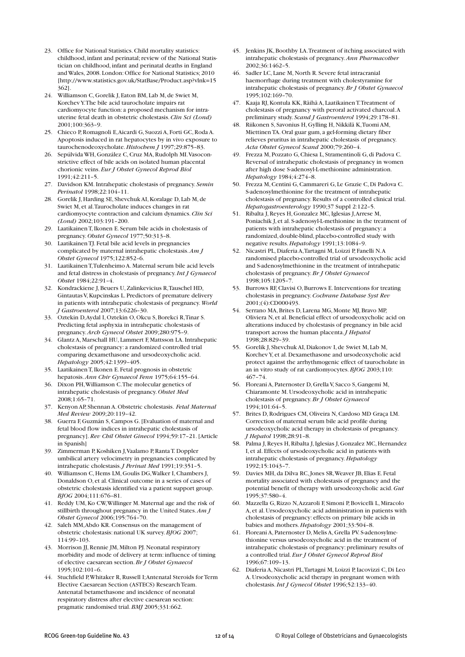- 23. Office for National Statistics.Child mortality statistics: childhood, infant and perinatal; review of the National Statistician on childhood, infant and perinatal deaths in England and Wales, 2008. London:Office for National Statistics; 2010 [http://www.statistics.gov.uk/StatBase/Product.asp?vlnk=15 362].
- 24. Williamson C, Gorelik J, Eaton BM, Lab M, de Swiet M, KorchevY.The bile acid taurocholate impairs rat cardiomyocyte function: a proposed mechanism for intrauterine fetal death in obstetric cholestasis.*Clin Sci (Lond)* 2001;100:363–9.
- 25. Chieco P,Romagnoli E,Aicardi G, Suozzi A, Forti GC,Roda A. Apoptosis induced in rat hepatocytes by in vivo exposure to taurochenodeoxycholate.*Histochem J* 1997;29:875–83.
- 26. Sepúlvida WH, González C,Cruz MA,Rudolph MI.Vasoconstrictive effect of bile acids on isolated human placental chorionic veins. *Eur J Obstet Gynecol Reprod Biol* 1991;42:211–5.
- 27. Davidson KM.Intrahepatic cholestasis of pregnancy. *Semin Perinatol* 1998;22:104–11.
- 28. Gorelik J, Harding SE, Shevchuk AI,Koralage D, Lab M, de Swiet M, et al.Taurocholate induces changes in rat cardiomyocyte contraction and calcium dynamics.*Clin Sci (Lond)* 2002;103:191–200.
- 29. LaatikainenT,Ikonen E. Serum bile acids in cholestasis of pregnancy. *Obstet Gynecol* 1977;50:313–8.
- 30. LaatikainenTJ. Fetal bile acid levels in pregnancies complicated by maternal intrahepatic cholestasis.*Am J Obstet Gynecol* 1975;122:852–6.
- 31. LaatikainenT,Tulenheimo A. Maternal serum bile acid levels and fetal distress in cholestasis of pregnancy.*Int J Gynaecol Obstet* 1984;22:91–4.
- 32. Kondrackiene J,Beuers U,Zalinkevicius R,Tauschel HD, Gintautas V,Kupcinskas L. Predictors of premature delivery in patients with intrahepatic cholestasis of pregnancy.*World J Gastroenterol* 2007;13:6226–30.
- 33. Oztekin D,Aydal I,Oztekin O,Okcu S,Borekci R,Tinar S. Predicting fetal asphyxia in intrahepatic cholestasis of pregnancy.*Arch Gynecol Obstet* 2009;280:975–9.
- 34. Glantz A, Marschall HU, Lammert F, Mattsson LA.Intrahepatic cholestasis of pregnancy: a randomized controlled trial comparing dexamethasone and ursodeoxycholic acid. *Hepatology* 2005;42:1399–405.
- 35. LaatikainenT,Ikonen E. Fetal prognosis in obstetric hepatosis.*Ann Chir Gynaecol Fenn* 1975;64:155–64.
- 36. Dixon PH,Williamson C.The molecular genetics of intrahepatic cholestasis of pregnancy. *Obstet Med* 2008;1:65–71.
- 37. Kenyon AP, Shennan A.Obstetric cholestasis. *Fetal Maternal Med Review* 2009;20:119–42.
- 38. Guerra F, Guzmán S,Campos G.[Evaluation of maternal and fetal blood flow indices in intrahepatic cholestasis of pregnancy].*Rev Chil Obstet Ginecol* 1994;59:17–21.[Article in Spanish]
- 39. Zimmerman P,Koshiken J,Vaalamo P,RantaT. Doppler umbilical artery velocimetry in pregnancies complicated by intrahepatic cholestasis.*J Perinat Med* 1991;19:351–5.
- 40. Williamson C, Hems LM, Goulis DG,Walker I,Chambers J, Donaldson O, et al.Clinical outcome in a series of cases of obstetric cholestasis identified via a patient support group. *BJOG* 2004;111:676–81.
- 41. Reddy UM,Ko CW,Willinger M. Maternal age and the risk of stillbirth throughout pregnancy in the United States.*Am J Obstet Gynecol* 2006;195:764–70.
- 42. Saleh MM,Abdo KR.Consensus on the management of obstetric cholestasis: national UK survey.*BJOG* 2007; 114:99–103.
- 43. Morrison JJ,Rennie JM, Milton PJ.Neonatal respiratory morbidity and mode of delivery at term: influence of timing of elective caesarean section.*Br J Obstet Gynaecol* 1995;102:101–6.
- 44. Stuchfield P, Whitaker R, Russell I; Antenatal Steroids for Term Elective Caesarean Section (ASTECS) ResearchTeam. Antenatal betamethasone and incidence of neonatal respiratory distress after elective caesarean section: pragmatic randomised trial.*BMJ* 2005;331:662.
- 45. Jenkins JK,Boothby LA.Treatment of itching associated with intrahepatic cholestasis of pregnancy.*Ann Pharmacother* 2002;36:1462–5.
- 46. Sadler LC, Lane M, North R, Severe fetal intracranial haemorrhage during treatment with cholestyramine for intrahepatic cholestasis of pregnancy.*Br J Obstet Gynaecol* 1995;102:169–70.
- 47. Kaaja RJ,Kontula KK,Räihä A, LaatikainenT.Treatment of cholestasis of pregnancy with peroral activated charcoal.A preliminary study. *Scand J Gastroenterol* 1994;29:178–81.
- Riikonen S, Savonius H, Gylling H, Nikkilä K, Tuomi AM, MiettinenTA.Oral guar gum, a gel-forming dietary fiber relieves pruritus in intrahepatic cholestasis of pregnancy. *Acta Obstet Gynecol Scand* 2000;79:260–4.
- 49. Frezza M, Pozzato G,Chiesa L, Stramentinoli G, di Padova C. Reversal of intrahepatic cholestasis of pregnancy in women after high dose S-adenosyl-L-methionine administration. *Hepatology* 1984;4:274–8.
- 50. Frezza M,Centini G,Cammareri G, Le Grazie C, Di Padova C. S-adenosylmethionine for the treatment of intrahepatic cholestasis of pregnancy.Results of a controlled clinical trial. *Hepatogastroenterology* 1990;37 Suppl 2:122–5.
- 51. Ribalta J,Reyes H, Gonzalez MC,Iglesias J,Arrese M, Poniachik J, et al. S-adenosyl-L-methionine in the treatment of patients with intrahepatic cholestasis of pregnancy: a randomized, double-blind, placebo-controlled study with negative results.*Hepatology* 1991;13:1084–9.
- 52. Nicastri PL, Diaferia A,Tartagni M, Loizzi P, Fanelli N.A randomised placebo-controlled trial of ursodeoxycholic acid and S-adenosylmethionine in the treatment of intrahepatic cholestasis of pregnancy.*Br J Obstet Gynaecol* 1998;105:1205–7.
- 53. Burrows RF,Clavisi O,Burrows E.Interventions for treating cholestasis in pregnancy.*Cochrane Database Syst Rev* 2001;(4):CD000493.
- 54. Serrano MA,Brites D, Larena MG, Monte MJ,Bravo MP, Oliviera N, et al.Beneficial effect of ursodeoxycholic acid on alterations induced by cholestasis of pregnancy in bile acid transport across the human placenta.*J Hepatol* 1998;28:829–39.
- 55. Gorelik J, Shevchuk AI, Diakonov I, de Swiet M, Lab M, KorchevY, et al. Dexamethasone and ursodeoxycholic acid protect against the arrhythmogenic effect of taurocholate in an in vitro study of rat cardiomyocytes.*BJOG* 2003;110: 467–74.
- 56. Floreani A, Paternoster D, Grella V, Sacco S, Gangemi M, Chiaramonte M.Ursodeoxycholic acid in intrahepatic cholestasis of pregnancy.*Br J Obstet Gynaecol* 1994;101:64–5.
- 57. Brites D,Rodrigues CM,Oliveira N,Cardoso MD Graça LM. Correction of maternal serum bile acid profile during ursodeoxycholic acid therapy in cholestasis of pregnancy. *J Hepatol* 1998;28:91–8.
- 58. Palma J,Reyes H,Ribalta J,Iglesias J, Gonzalez MC, Hernandez I, et al. Effects of ursodeoxycholic acid in patients with intrahepatic cholestasis of pregnancy.*Hepatology* 1992;15:1043–7.
- 59. Davies MH, da Dilva RC,Jones SR,Weaver JB, Elias E. Fetal mortality associated with cholestasis of pregnancy and the potential benefit of therapy with ursodeoxycholic acid. *Gut* 1995;37:580–4.
- 60. Mazzella G,Rizzo N,Azzaroli F, Simoni P,Bovicelli L, Miracolo A, et al.Ursodeoxycholic acid administration in patients with cholestasis of pregnancy: effects on primary bile acids in babies and mothers.*Hepatology* 2001;33:504–8.
- 61. Floreani A, Paternoster D, Melis A, Grella PV. S-adenosylmethionine versus ursodeoxycholic acid in the treatment of intrahepatic cholestasis of pregnancy:preliminary results of a controlled trial. *Eur J Obstet Gynecol Reprod Biol* 1996;67:109–13.
- 62. Diaferia A,Nicastri PL,Tartagni M, Loizzi P,Iacovizzi C, Di Leo A.Ursodeoxycholic acid therapy in pregnant women with cholestasis.*Int J Gynecol Obstet* 1996;52:133–40.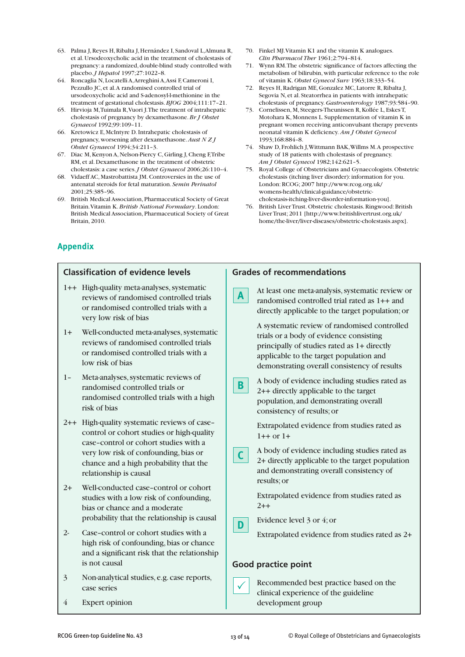- 63. Palma J,Reyes H,Ribalta J, Hernández I, Sandoval L,Almuna R, et al.Ursodeoxycholic acid in the treatment of cholestasis of pregnancy: a randomized, double-blind study controlled with placebo.*J Hepatol* 1997;27:1022–8.
- 64. Roncaglia N, Locatelli A,Arreghini A,Assi F,Cameroni I, Pezzullo JC, et al.A randomised controlled trial of ursodeoxycholic acid and S-adenosyl-l-methionine in the treatment of gestational cholestasis.*BJOG* 2004;111:17–21.
- 65. Hirvioja M,Tuimala R,Vuori J.The treatment of intrahepatic cholestasis of pregnancy by dexamethasone.*Br J Obstet Gynaecol* 1992;99:109–11.
- 66. Kretowicz E, McIntyre D.Intrahepatic cholestasis of pregnancy, worsening after dexamethasone.*Aust N Z J Obstet Gynaecol* 1994;34:211–3.
- 67. Diac M,Kenyon A,Nelson-Piercy C, Girling J,Cheng F,Tribe RM, et al. Dexamethasone in the treatment of obstetric cholestasis: a case series.*J Obstet Gynaecol* 2006;26:110–4.
- 68. Vidaeff AC, Mastrobattista JM.Controversies in the use of antenatal steroids for fetal maturation. *Semin Perinatol* 2001;25:385–96.
- 69. British Medical Association, Pharmaceutical Society of Great Britain.Vitamin K.*British National Formulary*. London: British Medical Association, Pharmaceutical Society of Great Britain, 2010.
- 70. Finkel MJ.Vitamin K1 and the vitamin K analogues. *Clin Pharmacol Ther* 1961;2:794–814.
- 71. Wynn RM.The obstetric significance of factors affecting the metabolism of bilirubin, with particular reference to the role of vitamin K. *Obstet Gynecol Surv* 1963;18:333–54.
- 72. Reyes H,Radrigan ME, Gonzalez MC, Latorre R,Ribalta J, Segovia N, et al. Steatorrhea in patients with intrahepatic cholestasis of pregnancy. *Gastroenterology* 1987;93:584–90.
- 73. Cornelissen, M, Steegers-Theunissen R,Kollée L, EskesT, Motohara K, Monnens L. Supplementation of vitamin K in pregnant women receiving anticonvulsant therapy prevents neonatal vitamin K deficiency. *Am J Obstet Gynecol* 1993;168:884–8.
- 74. Shaw D, Frohlich J,Wittmann BAK,Willms M.A prospective study of 18 patients with cholestasis of pregnancy. *Am J Obstet Gynecol* 1982;142:621–5.
- 75. Royal College of Obstetricians and Gynaecologists.Obstetric cholestasis (itching liver disorder): information for you. London:RCOG; 2007 http://www.rcog.org.uk/ womens-health/clinical-guidance/obstetriccholestasis-itching-liver-disorder-information-you].
- 76. British LiverTrust.Obstetric cholestasis.Ringwood:British LiverTrust; 2011 [http://www.britishlivertrust.org.uk/ home/the-liver/liver-diseases/obstetric-cholestasis.aspx].

# **Appendix**

| <b>Classification of evidence levels</b> |                                                                                                                                                                                                                                                 | <b>Grades of recommendations</b> |                                                                                                                                                                                                                                   |
|------------------------------------------|-------------------------------------------------------------------------------------------------------------------------------------------------------------------------------------------------------------------------------------------------|----------------------------------|-----------------------------------------------------------------------------------------------------------------------------------------------------------------------------------------------------------------------------------|
|                                          | 1++ High-quality meta-analyses, systematic<br>reviews of randomised controlled trials<br>or randomised controlled trials with a<br>very low risk of bias                                                                                        | A                                | At least one meta-analysis, systematic review or<br>randomised controlled trial rated as 1++ and<br>directly applicable to the target population; or                                                                              |
| $1+$                                     | Well-conducted meta-analyses, systematic<br>reviews of randomised controlled trials<br>or randomised controlled trials with a<br>low risk of bias                                                                                               |                                  | A systematic review of randomised controlled<br>trials or a body of evidence consisting<br>principally of studies rated as 1+ directly<br>applicable to the target population and<br>demonstrating overall consistency of results |
| $1 -$                                    | Meta-analyses, systematic reviews of<br>randomised controlled trials or<br>randomised controlled trials with a high<br>risk of bias                                                                                                             | B                                | A body of evidence including studies rated as<br>2++ directly applicable to the target<br>population, and demonstrating overall<br>consistency of results; or                                                                     |
|                                          | 2++ High-quality systematic reviews of case-<br>control or cohort studies or high-quality<br>case-control or cohort studies with a<br>very low risk of confounding, bias or<br>chance and a high probability that the<br>relationship is causal | $\mathsf{C}$                     | Extrapolated evidence from studies rated as<br>$1++$ or $1+$<br>A body of evidence including studies rated as<br>2+ directly applicable to the target population<br>and demonstrating overall consistency of                      |
| $2+$                                     | Well-conducted case-control or cohort<br>studies with a low risk of confounding,<br>bias or chance and a moderate<br>probability that the relationship is causal                                                                                |                                  | results; or<br>Extrapolated evidence from studies rated as<br>$2 + +$<br>Evidence level 3 or 4; or                                                                                                                                |
| $2-$                                     | Case-control or cohort studies with a<br>high risk of confounding, bias or chance<br>and a significant risk that the relationship<br>is not causal                                                                                              | D                                | Extrapolated evidence from studies rated as 2+<br><b>Good practice point</b>                                                                                                                                                      |
| $\overline{\mathbf{3}}$                  | Non-analytical studies, e.g. case reports,<br>case series                                                                                                                                                                                       |                                  | Recommended best practice based on the<br>clinical experience of the guideline                                                                                                                                                    |
| $\overline{4}$                           | <b>Expert opinion</b>                                                                                                                                                                                                                           |                                  | development group                                                                                                                                                                                                                 |